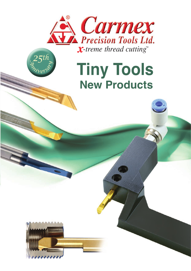

# **Tiny Tools New Products**



*<sup>A</sup>nniversar<sup>y</sup>*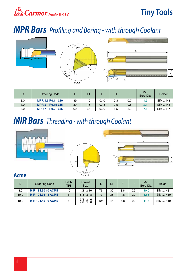### *MPR Bars Profiling and Boring - with through Coolant*



| D   | <b>Ordering Code</b>                 |    |    | R    |     |     | Min.<br>Bore Dia. | Holder         |
|-----|--------------------------------------|----|----|------|-----|-----|-------------------|----------------|
| 3.0 | MPR 1.5 R0.1 L10                     | 39 | 10 | 0.10 | 0.3 | 0.7 | 1.5               | <b>SIM  H3</b> |
| 3.0 | <b>R0.15 L15</b><br>MPR <sub>2</sub> | 39 | 15 | 0.15 | 0.5 | 0.8 | 2.1               | <b>SIM  H3</b> |
| 7.0 | R0.2 L35<br><b>MPR7</b>              | 62 | 35 | 0.20 | 1.5 | 3.3 |                   | <b>SIM  H7</b> |

### *MIR Bars Threading - with through Coolant*



| D    | <b>Ordering Code</b>     | Pitch<br>TPI | <b>Thread</b><br><b>Size</b>                             |     | L1 |     | $\alpha$ | Min.<br>Bore Dia. | Holder          |
|------|--------------------------|--------------|----------------------------------------------------------|-----|----|-----|----------|-------------------|-----------------|
| 8.0  | <b>MIR 8 L30 10 ACME</b> | 10           | $1/2 \times 10$                                          | 76  | 30 | 3.8 | 29       | 10.0              | <b>SIM  H8</b>  |
| 10.0 | <b>MIR 10 L35 8 ACME</b> | 8            | $5/8 \times 8$                                           | 73  | 35 | 4.8 | 29       | 12.5              | <b>SIM  H10</b> |
| 10.0 | <b>MIR 10 L45 6 ACME</b> | 6            | $3/4 \times 6$<br>7/8<br>-6<br>$\boldsymbol{\mathsf{x}}$ | 105 | 45 | 4.8 | 29       | 14.6              | SIM  H10        |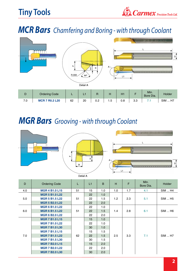### *MCR Bars Chamfering and Boring - with through Coolant*



### *MGR Bars Grooving - with through Coolant*



| D   | <b>Ordering Code</b>  | L                      | L1 | B   | H   | F   | Min.<br>Bore Dia. | <b>Holder</b>       |
|-----|-----------------------|------------------------|----|-----|-----|-----|-------------------|---------------------|
| 4.0 | <b>MGR 4 B1.0 L15</b> | 51                     | 15 | 1.0 | 1.0 | 1.7 | 4.1               | SIM  H4             |
|     | <b>MGR 5 B1.0 L22</b> |                        | 22 | 1.0 |     |     |                   |                     |
| 5.0 | <b>MGR 5 B1.5 L22</b> | 51                     | 22 | 1.5 | 1.2 | 2.3 | 5.1               | SIM  H <sub>5</sub> |
|     | <b>MGR 5 B2.0 L22</b> |                        | 22 | 2.0 |     |     |                   |                     |
|     | <b>MGR 6 B1.0 L22</b> |                        | 22 | 1.0 |     |     |                   |                     |
| 6.0 | <b>MGR 6 B1.5 L22</b> | 51                     | 22 | 1.5 | 1.4 | 2.8 | 6.1               | <b>SIM  H6</b>      |
|     | <b>MGR 6 B2.0 L22</b> |                        | 22 | 2.0 |     |     |                   |                     |
|     | <b>MGR 7 B1.0 L15</b> |                        | 15 | 1.0 |     |     |                   |                     |
|     | <b>MGR 7 B1.0 L22</b> |                        | 22 | 1.0 |     |     |                   |                     |
|     | <b>MGR 7 B1.0 L30</b> |                        | 30 | 1.0 |     |     |                   |                     |
|     | <b>MGR 7 B1.5 L15</b> |                        | 15 | 1.5 |     |     |                   |                     |
| 7.0 | <b>MGR 7 B1.5 L22</b> | 62                     | 22 | 1.5 | 2.5 | 3.3 | 7.1               | <b>SIM  H7</b>      |
|     | <b>MGR 7 B1.5 L30</b> |                        | 30 | 1.5 |     |     |                   |                     |
|     | <b>MGR 7 B2.0 L15</b> | 2.0<br>15<br>22<br>2.0 |    |     |     |     |                   |                     |
|     | <b>MGR 7 B2.0 L22</b> |                        |    |     |     |     |                   |                     |
|     | <b>MGR 7 B2.0 L30</b> |                        | 30 | 2.0 |     |     |                   |                     |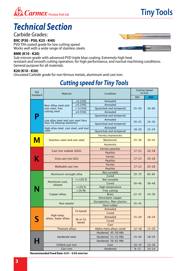

### *Technical Section*

#### Carbide Grades:

#### **BXC (P30 - P50, K25 - K40)**

PVD TiN coated grade for low cutting speed. Works well with a wide range of stainless steels.



#### **BMK (K10 - K20)**

Sub-micron grade with advanced PVD triple blue coating. Extremely high heat resistant and smooth cutting operation, for high performance, and normal machining conditions. General purpose for all materials.

#### **K20 (K10 - K30)**

Uncoated Carbide grade for non ferrous metals, aluminum and cast iron.

| <b>ISO</b><br>Standard | <b>Material</b>           |                                                                                                                                                                                                                                                                                                                                                                                                                                                                                                                                                                                                                                                                                        | Condition                                                                                       | <b>Cutting Speed</b><br>m/min                                                                                                                                                                               |            |  |
|------------------------|---------------------------|----------------------------------------------------------------------------------------------------------------------------------------------------------------------------------------------------------------------------------------------------------------------------------------------------------------------------------------------------------------------------------------------------------------------------------------------------------------------------------------------------------------------------------------------------------------------------------------------------------------------------------------------------------------------------------------|-------------------------------------------------------------------------------------------------|-------------------------------------------------------------------------------------------------------------------------------------------------------------------------------------------------------------|------------|--|
|                        |                           |                                                                                                                                                                                                                                                                                                                                                                                                                                                                                                                                                                                                                                                                                        |                                                                                                 | <b>BXC</b>                                                                                                                                                                                                  | <b>BMK</b> |  |
|                        |                           | $< 0.25 \%$ C                                                                                                                                                                                                                                                                                                                                                                                                                                                                                                                                                                                                                                                                          | Annealed                                                                                        |                                                                                                                                                                                                             |            |  |
|                        | Non-Alloy steel and       | $≥0.25%$ C                                                                                                                                                                                                                                                                                                                                                                                                                                                                                                                                                                                                                                                                             | Annealed                                                                                        |                                                                                                                                                                                                             |            |  |
|                        | cast steel, free          | $< 0.55\%$ C                                                                                                                                                                                                                                                                                                                                                                                                                                                                                                                                                                                                                                                                           | Quenched and tempered                                                                           | $25 - 50$<br>$20 - 25$<br>$18 - 20$<br>$25 - 30$<br>$17 - 23$<br>$17 - 23$<br>$17 - 23$<br>$50 - 70$<br>$30 - 40$<br>$22 - 25$<br>$35 - 45$<br>$15 - 20$<br>$12 - 18$<br>$15 - 20$<br>$10 - 14$<br>$8 - 12$ | $30 - 60$  |  |
|                        | cutting steel             | $≥0.55%$ C                                                                                                                                                                                                                                                                                                                                                                                                                                                                                                                                                                                                                                                                             | Annealed                                                                                        |                                                                                                                                                                                                             |            |  |
|                        |                           |                                                                                                                                                                                                                                                                                                                                                                                                                                                                                                                                                                                                                                                                                        |                                                                                                 |                                                                                                                                                                                                             |            |  |
|                        |                           |                                                                                                                                                                                                                                                                                                                                                                                                                                                                                                                                                                                                                                                                                        |                                                                                                 |                                                                                                                                                                                                             | $24 - 30$  |  |
|                        |                           |                                                                                                                                                                                                                                                                                                                                                                                                                                                                                                                                                                                                                                                                                        |                                                                                                 |                                                                                                                                                                                                             |            |  |
|                        |                           |                                                                                                                                                                                                                                                                                                                                                                                                                                                                                                                                                                                                                                                                                        | Annealed                                                                                        |                                                                                                                                                                                                             | $22 - 24$  |  |
|                        | steel                     |                                                                                                                                                                                                                                                                                                                                                                                                                                                                                                                                                                                                                                                                                        |                                                                                                 |                                                                                                                                                                                                             |            |  |
|                        |                           |                                                                                                                                                                                                                                                                                                                                                                                                                                                                                                                                                                                                                                                                                        | Ferritic/martensitic                                                                            |                                                                                                                                                                                                             |            |  |
| M                      |                           |                                                                                                                                                                                                                                                                                                                                                                                                                                                                                                                                                                                                                                                                                        | <b>Martensitic</b>                                                                              |                                                                                                                                                                                                             | $30 - 42$  |  |
|                        |                           |                                                                                                                                                                                                                                                                                                                                                                                                                                                                                                                                                                                                                                                                                        | Austenitic                                                                                      |                                                                                                                                                                                                             |            |  |
|                        |                           |                                                                                                                                                                                                                                                                                                                                                                                                                                                                                                                                                                                                                                                                                        | Ferritic/pearlitic                                                                              |                                                                                                                                                                                                             |            |  |
| K                      |                           |                                                                                                                                                                                                                                                                                                                                                                                                                                                                                                                                                                                                                                                                                        | Pearlitic                                                                                       |                                                                                                                                                                                                             | $20 - 28$  |  |
|                        |                           |                                                                                                                                                                                                                                                                                                                                                                                                                                                                                                                                                                                                                                                                                        | <b>Ferritic</b>                                                                                 |                                                                                                                                                                                                             |            |  |
|                        |                           |                                                                                                                                                                                                                                                                                                                                                                                                                                                                                                                                                                                                                                                                                        | <b>Pearlitic</b>                                                                                |                                                                                                                                                                                                             | $20 - 28$  |  |
|                        |                           |                                                                                                                                                                                                                                                                                                                                                                                                                                                                                                                                                                                                                                                                                        | Ferritic                                                                                        |                                                                                                                                                                                                             |            |  |
|                        |                           |                                                                                                                                                                                                                                                                                                                                                                                                                                                                                                                                                                                                                                                                                        | Pearlitic                                                                                       |                                                                                                                                                                                                             | $20 - 28$  |  |
|                        |                           |                                                                                                                                                                                                                                                                                                                                                                                                                                                                                                                                                                                                                                                                                        | Not cureable                                                                                    |                                                                                                                                                                                                             | $60 - 84$  |  |
|                        |                           |                                                                                                                                                                                                                                                                                                                                                                                                                                                                                                                                                                                                                                                                                        | Cured                                                                                           |                                                                                                                                                                                                             |            |  |
|                        |                           | $\le$ = 12% Si                                                                                                                                                                                                                                                                                                                                                                                                                                                                                                                                                                                                                                                                         | Not cureable                                                                                    |                                                                                                                                                                                                             |            |  |
|                        | Aluminum-cast,<br>alloyed |                                                                                                                                                                                                                                                                                                                                                                                                                                                                                                                                                                                                                                                                                        | Cured<br>High temperature<br>Free cutting<br><b>Brass</b><br>Electrolytic copper<br>Hard rubber |                                                                                                                                                                                                             | $36 - 48$  |  |
|                        |                           | $>12\%$ Si                                                                                                                                                                                                                                                                                                                                                                                                                                                                                                                                                                                                                                                                             |                                                                                                 |                                                                                                                                                                                                             |            |  |
|                        |                           |                                                                                                                                                                                                                                                                                                                                                                                                                                                                                                                                                                                                                                                                                        |                                                                                                 |                                                                                                                                                                                                             |            |  |
|                        | Copper alloys             |                                                                                                                                                                                                                                                                                                                                                                                                                                                                                                                                                                                                                                                                                        |                                                                                                 |                                                                                                                                                                                                             | $24 - 30$  |  |
|                        |                           | Quenched and tempered<br>Annealed<br>Low alloy steel and cast steel (less<br>than 5% alloying elements)<br>Quenched and tempered<br>High alloy steel, cast steel, and tool<br>Quenched and tempered<br>Stainless steel and cast steel<br>Cast iron nodular (GGG)<br>Grey cast iron (GG)<br>Malleable cast iron<br>Aluminum-wrought alloy<br>$>1\%$ Pb<br>Duroplastics, fiber plastics<br>Non metalic<br>Annealed<br>Fe based<br>Cured<br>Annealed<br>Ni or Co<br>Cured<br>based<br>Cast<br>Alpha+beta alloys cured<br><b>Titanium alloys</b><br>Hardened 45-50 HRc<br>Hardened steel<br>Hardened 51-55 HRc<br>Hardened 56-62 HRc<br>Chilled cast iron<br>Cast<br>Hardened<br>Cast iron |                                                                                                 |                                                                                                                                                                                                             |            |  |
|                        |                           |                                                                                                                                                                                                                                                                                                                                                                                                                                                                                                                                                                                                                                                                                        |                                                                                                 |                                                                                                                                                                                                             |            |  |
|                        |                           |                                                                                                                                                                                                                                                                                                                                                                                                                                                                                                                                                                                                                                                                                        |                                                                                                 |                                                                                                                                                                                                             |            |  |
|                        |                           |                                                                                                                                                                                                                                                                                                                                                                                                                                                                                                                                                                                                                                                                                        |                                                                                                 |                                                                                                                                                                                                             |            |  |
|                        | High temp.                |                                                                                                                                                                                                                                                                                                                                                                                                                                                                                                                                                                                                                                                                                        |                                                                                                 |                                                                                                                                                                                                             | $18 - 24$  |  |
|                        | alloys, Super alloys      |                                                                                                                                                                                                                                                                                                                                                                                                                                                                                                                                                                                                                                                                                        |                                                                                                 |                                                                                                                                                                                                             |            |  |
|                        |                           |                                                                                                                                                                                                                                                                                                                                                                                                                                                                                                                                                                                                                                                                                        |                                                                                                 |                                                                                                                                                                                                             |            |  |
|                        |                           |                                                                                                                                                                                                                                                                                                                                                                                                                                                                                                                                                                                                                                                                                        |                                                                                                 |                                                                                                                                                                                                             |            |  |
|                        |                           |                                                                                                                                                                                                                                                                                                                                                                                                                                                                                                                                                                                                                                                                                        |                                                                                                 |                                                                                                                                                                                                             | $15 - 20$  |  |
|                        |                           |                                                                                                                                                                                                                                                                                                                                                                                                                                                                                                                                                                                                                                                                                        |                                                                                                 |                                                                                                                                                                                                             |            |  |
|                        |                           |                                                                                                                                                                                                                                                                                                                                                                                                                                                                                                                                                                                                                                                                                        |                                                                                                 |                                                                                                                                                                                                             | $18 - 24$  |  |
|                        |                           |                                                                                                                                                                                                                                                                                                                                                                                                                                                                                                                                                                                                                                                                                        |                                                                                                 |                                                                                                                                                                                                             |            |  |
|                        |                           |                                                                                                                                                                                                                                                                                                                                                                                                                                                                                                                                                                                                                                                                                        |                                                                                                 |                                                                                                                                                                                                             | $12 - 16$  |  |
|                        |                           |                                                                                                                                                                                                                                                                                                                                                                                                                                                                                                                                                                                                                                                                                        |                                                                                                 |                                                                                                                                                                                                             | $10 - 14$  |  |

### *Cutting speed for Tiny Tools*

**Recommended Feed Rate: 0.01 - 0.03 mm/rev**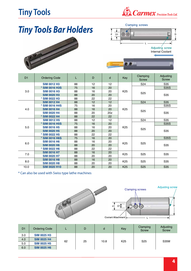### **Tiny Tools**



# *Tiny Tools Bar Holders*





| D <sub>1</sub> | <b>Ordering Code</b> | L  | D  | d   | Key             | Clamping<br><b>Screw</b> | Adjusting<br><b>Screw</b> |
|----------------|----------------------|----|----|-----|-----------------|--------------------------|---------------------------|
|                | <b>SIM 0012 H3</b>   | 88 | 12 | 12  |                 | S <sub>24</sub>          | S35                       |
|                | * SIM 0016 H3S       | 75 | 16 | 20  |                 |                          | <b>S35S</b>               |
| 3.0            | <b>SIM 0016 H3</b>   | 88 | 16 | 20  | K <sub>25</sub> |                          |                           |
|                | <b>SIM 0020 H3</b>   | 88 | 20 | 20  |                 | S <sub>25</sub>          | S35                       |
|                | * SIM 0022 H3        | 88 | 22 | 22  |                 |                          |                           |
|                | <b>SIM 0012 H4</b>   | 88 | 12 | 12  |                 | S <sub>24</sub>          | S35                       |
|                | * SIM 0016 H4S       | 75 | 16 | 20  |                 | S35S                     |                           |
| 4.0            | <b>SIM 0016 H4</b>   | 88 | 16 | 20  | K <sub>25</sub> | S <sub>25</sub>          | S35                       |
|                | <b>SIM 0020 H4</b>   | 88 | 20 | 20z |                 |                          |                           |
|                | * SIM 0022 H4        | 88 | 22 | 22  |                 |                          |                           |
|                | <b>SIM 0012 H5</b>   | 88 | 12 | 12  |                 | S <sub>24</sub>          | S35                       |
|                | * SIM 0016 H5S       | 75 | 16 | 20  | <b>S35S</b>     |                          |                           |
| 5.0            | <b>SIM 0016 H5</b>   | 88 | 16 | 20  | K <sub>25</sub> | S <sub>25</sub>          |                           |
|                | <b>SIM 0020 H5</b>   | 88 | 20 | 20  |                 |                          | S35                       |
|                | * SIM 0022 H5        | 88 | 22 | 22  |                 |                          |                           |
|                | * SIM 0016 H6S       | 75 | 16 | 20  |                 |                          | <b>S35S</b>               |
| 6.0            | <b>SIM 0016 H6</b>   | 88 | 16 | 20  | K <sub>25</sub> | S <sub>25</sub>          |                           |
|                | <b>SIM 0020 H6</b>   | 88 | 20 | 20  |                 |                          | S35                       |
|                | * SIM 0022 H6        | 88 | 22 | 22  |                 |                          |                           |
| 7.0            | <b>SIM 0016 H7</b>   | 88 | 16 | 20  | K <sub>25</sub> | S <sub>25</sub>          | S35                       |
|                | <b>SIM 0020 H7</b>   | 88 | 20 | 20  |                 |                          |                           |
| 8.0            | <b>SIM 0016 H8</b>   | 88 | 16 | 20  | K <sub>25</sub> | S <sub>25</sub>          | S35                       |
|                | <b>SIM 0020 H8</b>   | 88 | 20 | 20  |                 |                          |                           |
| 10.0           | <b>SIM 0020 H10</b>  | 88 | 20 | 20  | K <sub>25</sub> | S <sub>25</sub>          | <b>S35</b>                |

\* Can also be used with Swiss type lathe machines



| D <sub>1</sub> | <b>Ordering Code</b> |    | D  | d    | Key             | Clamping<br><b>Screw</b> | Adjusting<br><b>Screw</b> |  |
|----------------|----------------------|----|----|------|-----------------|--------------------------|---------------------------|--|
| 3.0            | <b>SIM 0025 H3</b>   |    |    | 10.8 |                 |                          |                           |  |
| 4.0            | <b>SIM 0025 H4</b>   |    |    |      | K <sub>25</sub> | S <sub>25</sub>          | <b>S35M</b>               |  |
| 5.0            | <b>SIM 0025 H5</b>   | 62 | 25 |      |                 |                          |                           |  |
| 6.0            | <b>SIM 0025 H6</b>   |    |    |      |                 |                          |                           |  |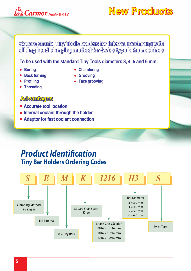

**New Products**

**Square shank Tiny Tools holders for internal machining with sliding head clamping method for Swiss type lathe machines**

#### **To be used with the standard Tiny Tools diameters 3, 4, 5 and 6 mm.**

- **Boring**
- **Back turning**
- **Chamfering**
- **Grooving**
- **Profiling Threading**
- **Face grooving**
- **Advantages**
- **Accurate tool location**
- **Internal coolant through the holder**
- **Adaptor for fast coolant connection**

### *Product Identification*  **Tiny Bar Holders Ordering Codes**

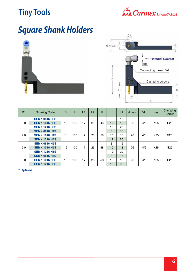### **Tiny Tools**



# *Square Shank Holders*





| D <sub>1</sub> | <b>Ordering Code</b> | B  | L   | L1 | L2 | н  | h  | h1 | d max. | *dp | Key             | Clamping<br><b>Screw</b> |
|----------------|----------------------|----|-----|----|----|----|----|----|--------|-----|-----------------|--------------------------|
|                | <b>SEMK 0816 H3S</b> |    |     |    |    |    | 8  | 16 |        |     |                 |                          |
| 3.0            | <b>SEMK 1016 H3S</b> | 16 | 100 | 17 | 25 | 46 | 10 | 18 | 26     | 4/6 | K <sub>25</sub> | S <sub>25</sub>          |
|                | <b>SEMK 1216 H3S</b> |    |     |    |    |    | 12 | 20 |        |     |                 |                          |
|                | <b>SEMK 0816 H4S</b> |    |     |    |    |    | 8  | 16 |        |     |                 |                          |
| 4.0            | <b>SEMK 1016 H4S</b> | 16 | 100 | 17 | 25 | 58 | 10 | 18 | 26     | 4/6 | K <sub>25</sub> | S <sub>25</sub>          |
|                | <b>SEMK 1216 H4S</b> |    |     |    |    |    | 12 | 20 |        |     |                 |                          |
|                | <b>SEMK 0816 H5S</b> |    |     |    |    |    | 8  | 16 |        |     |                 |                          |
| 5.0            | <b>SEMK 1016 H5S</b> | 16 | 100 | 17 | 25 | 58 | 10 | 18 | 26     | 4/6 | K <sub>25</sub> | S <sub>25</sub>          |
|                | <b>SEMK 1216 H5S</b> |    |     |    |    |    | 12 | 20 |        |     |                 |                          |
|                | <b>SEMK 0816 H6S</b> |    |     |    |    | 8  | 16 |    |        |     |                 |                          |
| 6.0            | <b>SEMK 1016 H6S</b> | 16 | 100 | 17 | 25 | 58 | 10 | 18 | 26     | 4/6 | K <sub>25</sub> | S <sub>25</sub>          |
|                | <b>SEMK 1216 H6S</b> |    |     |    |    |    | 12 | 20 |        |     |                 |                          |

\* Optional